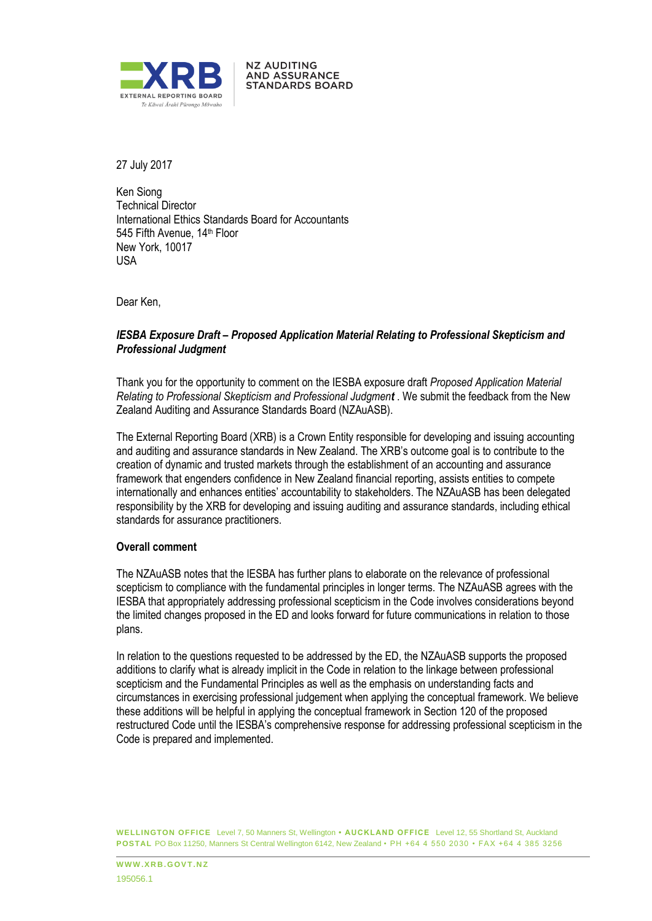

27 July 2017

Ken Siong Technical Director International Ethics Standards Board for Accountants 545 Fifth Avenue, 14<sup>th</sup> Floor New York, 10017 USA

**NZ AUDITING AND ASSURANCE STANDARDS BOARD** 

Dear Ken,

# *IESBA Exposure Draft – Proposed Application Material Relating to Professional Skepticism and Professional Judgment*

Thank you for the opportunity to comment on the IESBA exposure draft *Proposed Application Material Relating to Professional Skepticism and Professional Judgment* . We submit the feedback from the New Zealand Auditing and Assurance Standards Board (NZAuASB).

The External Reporting Board (XRB) is a Crown Entity responsible for developing and issuing accounting and auditing and assurance standards in New Zealand. The XRB's outcome goal is to contribute to the creation of dynamic and trusted markets through the establishment of an accounting and assurance framework that engenders confidence in New Zealand financial reporting, assists entities to compete internationally and enhances entities' accountability to stakeholders. The NZAuASB has been delegated responsibility by the XRB for developing and issuing auditing and assurance standards, including ethical standards for assurance practitioners.

### **Overall comment**

The NZAuASB notes that the IESBA has further plans to elaborate on the relevance of professional scepticism to compliance with the fundamental principles in longer terms. The NZAuASB agrees with the IESBA that appropriately addressing professional scepticism in the Code involves considerations beyond the limited changes proposed in the ED and looks forward for future communications in relation to those plans.

In relation to the questions requested to be addressed by the ED, the NZAuASB supports the proposed additions to clarify what is already implicit in the Code in relation to the linkage between professional scepticism and the Fundamental Principles as well as the emphasis on understanding facts and circumstances in exercising professional judgement when applying the conceptual framework. We believe these additions will be helpful in applying the conceptual framework in Section 120 of the proposed restructured Code until the IESBA's comprehensive response for addressing professional scepticism in the Code is prepared and implemented.

**WELLINGTON OFFICE** Level 7, 50 Manners St, Wellington **• AUCKLAND OFFICE** Level 12, 55 Shortland St, Auckland **POSTAL** PO Box 11250, Manners St Central Wellington 6142, New Zealand • PH +64 4 550 2030 • FAX +64 4 385 3256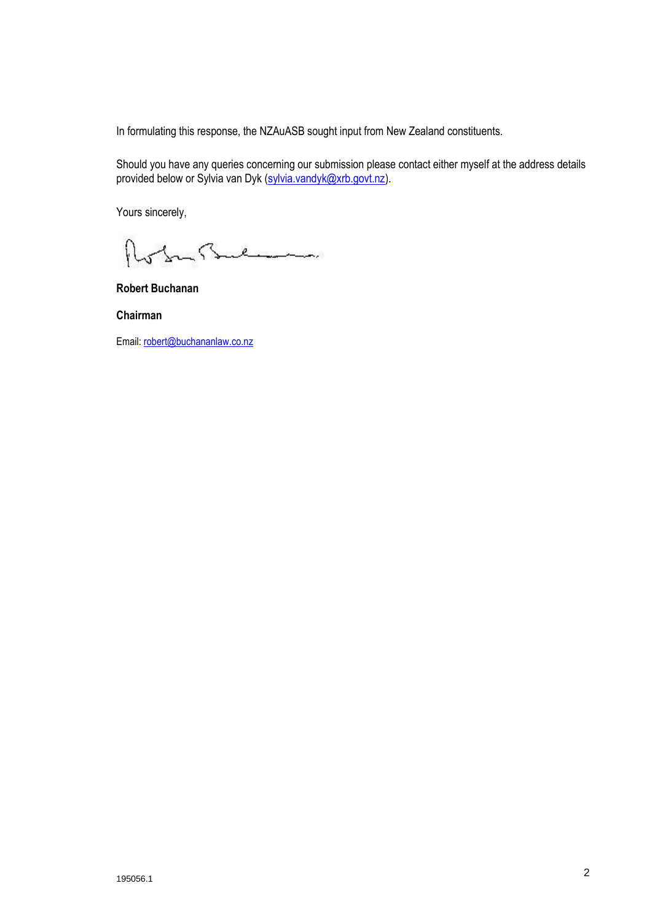In formulating this response, the NZAuASB sought input from New Zealand constituents.

Should you have any queries concerning our submission please contact either myself at the address details provided below or Sylvia van Dyk (sylvia.vandyk@xrb.govt.nz).

Yours sincerely,

In Sulman

**Robert Buchanan**

**Chairman**

Email: robert@buchananlaw.co.nz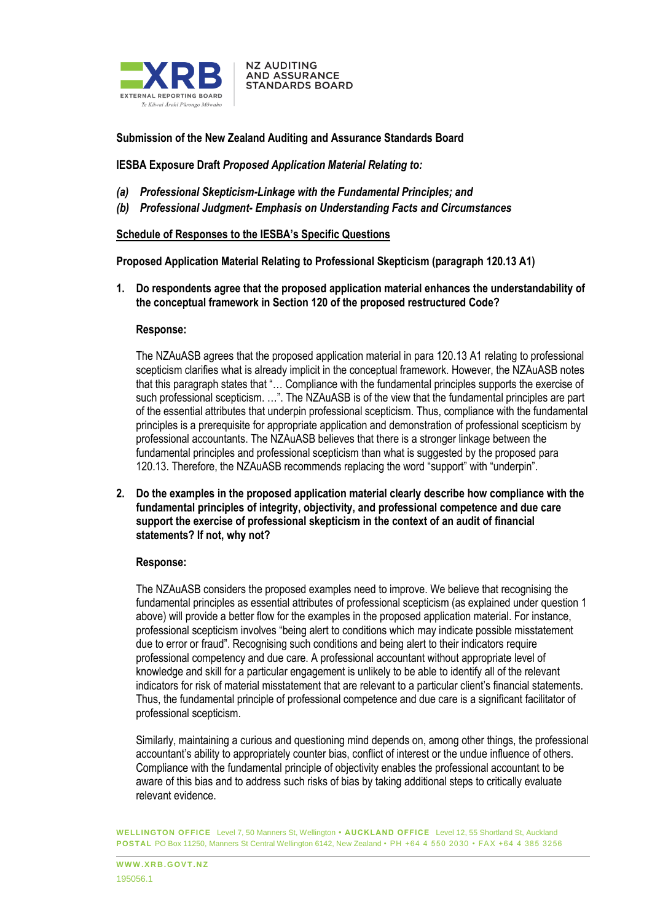

**Submission of the New Zealand Auditing and Assurance Standards Board** 

**NZ AUDITING AND ASSURANCE STANDARDS BOARD** 

**IESBA Exposure Draft** *Proposed Application Material Relating to:*

- *(a) Professional Skepticism-Linkage with the Fundamental Principles; and*
- *(b) Professional Judgment- Emphasis on Understanding Facts and Circumstances*

### **Schedule of Responses to the IESBA's Specific Questions**

**Proposed Application Material Relating to Professional Skepticism (paragraph 120.13 A1)** 

**1. Do respondents agree that the proposed application material enhances the understandability of the conceptual framework in Section 120 of the proposed restructured Code?** 

### **Response:**

The NZAuASB agrees that the proposed application material in para 120.13 A1 relating to professional scepticism clarifies what is already implicit in the conceptual framework. However, the NZAuASB notes that this paragraph states that "… Compliance with the fundamental principles supports the exercise of such professional scepticism. ...". The NZAuASB is of the view that the fundamental principles are part of the essential attributes that underpin professional scepticism. Thus, compliance with the fundamental principles is a prerequisite for appropriate application and demonstration of professional scepticism by professional accountants. The NZAuASB believes that there is a stronger linkage between the fundamental principles and professional scepticism than what is suggested by the proposed para 120.13. Therefore, the NZAuASB recommends replacing the word "support" with "underpin".

**2. Do the examples in the proposed application material clearly describe how compliance with the fundamental principles of integrity, objectivity, and professional competence and due care support the exercise of professional skepticism in the context of an audit of financial statements? If not, why not?** 

### **Response:**

The NZAuASB considers the proposed examples need to improve. We believe that recognising the fundamental principles as essential attributes of professional scepticism (as explained under question 1 above) will provide a better flow for the examples in the proposed application material. For instance, professional scepticism involves "being alert to conditions which may indicate possible misstatement due to error or fraud". Recognising such conditions and being alert to their indicators require professional competency and due care. A professional accountant without appropriate level of knowledge and skill for a particular engagement is unlikely to be able to identify all of the relevant indicators for risk of material misstatement that are relevant to a particular client's financial statements. Thus, the fundamental principle of professional competence and due care is a significant facilitator of professional scepticism.

Similarly, maintaining a curious and questioning mind depends on, among other things, the professional accountant's ability to appropriately counter bias, conflict of interest or the undue influence of others. Compliance with the fundamental principle of objectivity enables the professional accountant to be aware of this bias and to address such risks of bias by taking additional steps to critically evaluate relevant evidence.

**WELLINGTON OFFICE** Level 7, 50 Manners St, Wellington **• AUCKLAND OFFICE** Level 12, 55 Shortland St, Auckland **POSTAL** PO Box 11250, Manners St Central Wellington 6142, New Zealand • PH +64 4 550 2030 • FAX +64 4 385 3256